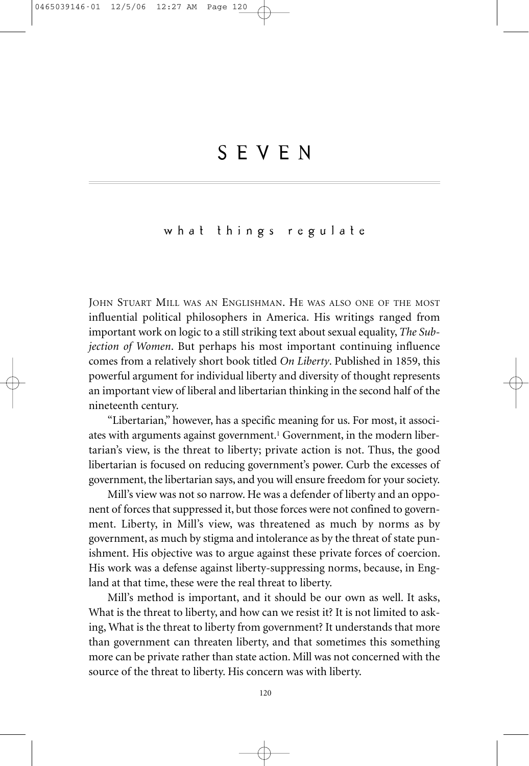# S E V E N

## what things regulate

JOHN STUART MILL WAS AN ENGLISHMAN. HE WAS ALSO ONE OF THE MOST influential political philosophers in America. His writings ranged from important work on logic to a still striking text about sexual equality, *The Subjection of Women*. But perhaps his most important continuing influence comes from a relatively short book titled *On Liberty*. Published in 1859, this powerful argument for individual liberty and diversity of thought represents an important view of liberal and libertarian thinking in the second half of the nineteenth century.

"Libertarian," however, has a specific meaning for us. For most, it associates with arguments against government. <sup>1</sup> Government, in the modern libertarian's view, is the threat to liberty; private action is not. Thus, the good libertarian is focused on reducing government's power. Curb the excesses of government, the libertarian says, and you will ensure freedom for your society.

Mill's view was not so narrow. He was a defender of liberty and an opponent of forces that suppressed it, but those forces were not confined to government. Liberty, in Mill's view, was threatened as much by norms as by government, as much by stigma and intolerance as by the threat of state punishment. His objective was to argue against these private forces of coercion. His work was a defense against liberty-suppressing norms, because, in England at that time, these were the real threat to liberty.

Mill's method is important, and it should be our own as well. It asks, What is the threat to liberty, and how can we resist it? It is not limited to asking, What is the threat to liberty from government? It understands that more than government can threaten liberty, and that sometimes this something more can be private rather than state action. Mill was not concerned with the source of the threat to liberty. His concern was with liberty.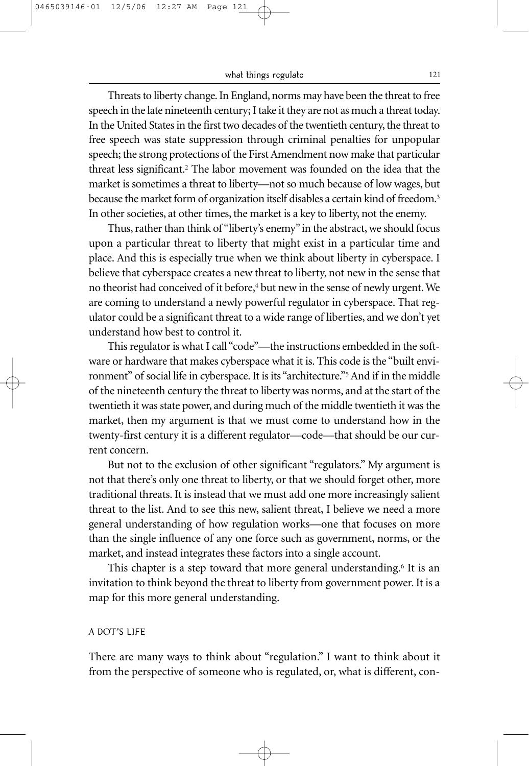Threats to liberty change. In England, norms may have been the threat to free speech in the late nineteenth century; I take it they are not as much a threat today. In the United States in the first two decades of the twentieth century, the threat to free speech was state suppression through criminal penalties for unpopular speech; the strong protections of the First Amendment now make that particular threat less significant. <sup>2</sup> The labor movement was founded on the idea that the market is sometimes a threat to liberty—not so much because of low wages, but because the market form of organization itself disables a certain kind of freedom. 3 In other societies, at other times, the market is a key to liberty, not the enemy.

Thus, rather than think of "liberty's enemy" in the abstract, we should focus upon a particular threat to liberty that might exist in a particular time and place. And this is especially true when we think about liberty in cyberspace. I believe that cyberspace creates a new threat to liberty, not new in the sense that no theorist had conceived of it before, <sup>4</sup> but new in the sense of newly urgent.We are coming to understand a newly powerful regulator in cyberspace. That regulator could be a significant threat to a wide range of liberties, and we don't yet understand how best to control it.

This regulator is what I call "code"—the instructions embedded in the software or hardware that makes cyberspace what it is. This code is the "built environment" of social life in cyberspace. It is its "architecture."<sup>5</sup> And if in the middle of the nineteenth century the threat to liberty was norms, and at the start of the twentieth it was state power, and during much of the middle twentieth it was the market, then my argument is that we must come to understand how in the twenty-first century it is a different regulator—code—that should be our current concern.

But not to the exclusion of other significant "regulators." My argument is not that there's only one threat to liberty, or that we should forget other, more traditional threats. It is instead that we must add one more increasingly salient threat to the list. And to see this new, salient threat, I believe we need a more general understanding of how regulation works—one that focuses on more than the single influence of any one force such as government, norms, or the market, and instead integrates these factors into a single account.

This chapter is a step toward that more general understanding. <sup>6</sup> It is an invitation to think beyond the threat to liberty from government power. It is a map for this more general understanding.

## A DOT'S LIFE

There are many ways to think about "regulation." I want to think about it from the perspective of someone who is regulated, or, what is different, con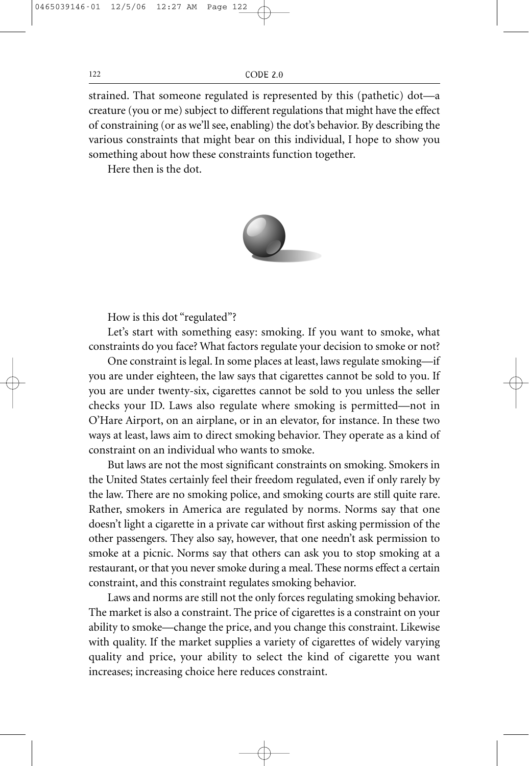strained. That someone regulated is represented by this (pathetic) dot—a creature (you or me) subject to different regulations that might have the effect of constraining (or as we'll see, enabling) the dot's behavior. By describing the various constraints that might bear on this individual, I hope to show you something about how these constraints function together.

Here then is the dot.



How is this dot "regulated"?

Let's start with something easy: smoking. If you want to smoke, what constraints do you face? What factors regulate your decision to smoke or not?

One constraint is legal. In some places at least, laws regulate smoking—if you are under eighteen, the law says that cigarettes cannot be sold to you. If you are under twenty-six, cigarettes cannot be sold to you unless the seller checks your ID. Laws also regulate where smoking is permitted—not in O'Hare Airport, on an airplane, or in an elevator, for instance. In these two ways at least, laws aim to direct smoking behavior. They operate as a kind of constraint on an individual who wants to smoke.

But laws are not the most significant constraints on smoking. Smokers in the United States certainly feel their freedom regulated, even if only rarely by the law. There are no smoking police, and smoking courts are still quite rare. Rather, smokers in America are regulated by norms. Norms say that one doesn't light a cigarette in a private car without first asking permission of the other passengers. They also say, however, that one needn't ask permission to smoke at a picnic. Norms say that others can ask you to stop smoking at a restaurant, or that you never smoke during a meal. These norms effect a certain constraint, and this constraint regulates smoking behavior.

Laws and norms are still not the only forces regulating smoking behavior. The market is also a constraint. The price of cigarettes is a constraint on your ability to smoke—change the price, and you change this constraint. Likewise with quality. If the market supplies a variety of cigarettes of widely varying quality and price, your ability to select the kind of cigarette you want increases; increasing choice here reduces constraint.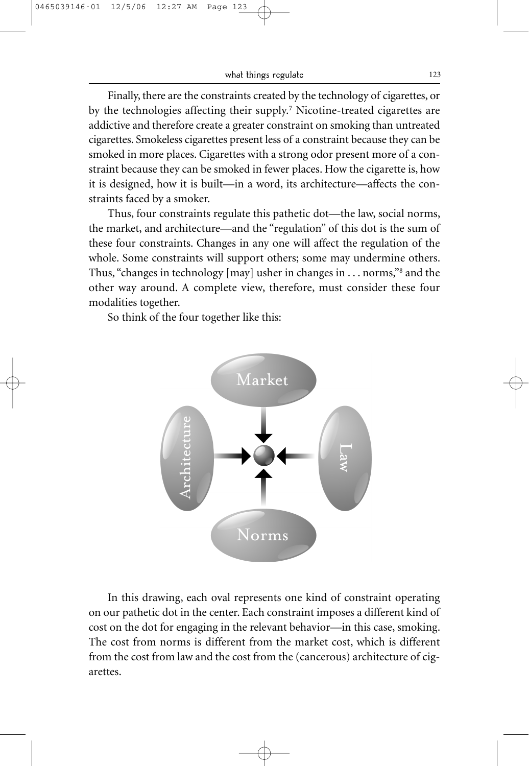Finally, there are the constraints created by the technology of cigarettes, or by the technologies affecting their supply. <sup>7</sup> Nicotine-treated cigarettes are addictive and therefore create a greater constraint on smoking than untreated cigarettes. Smokeless cigarettes present less of a constraint because they can be smoked in more places. Cigarettes with a strong odor present more of a constraint because they can be smoked in fewer places. How the cigarette is, how it is designed, how it is built—in a word, its architecture—affects the constraints faced by a smoker.

Thus, four constraints regulate this pathetic dot—the law, social norms, the market, and architecture—and the "regulation" of this dot is the sum of these four constraints. Changes in any one will affect the regulation of the whole. Some constraints will support others; some may undermine others. Thus, "changes in technology [may] usher in changes in . . . norms,"8 and the other way around. A complete view, therefore, must consider these four modalities together.

So think of the four together like this:



In this drawing, each oval represents one kind of constraint operating on our pathetic dot in the center. Each constraint imposes a different kind of cost on the dot for engaging in the relevant behavior—in this case, smoking. The cost from norms is different from the market cost, which is different from the cost from law and the cost from the (cancerous) architecture of cigarettes.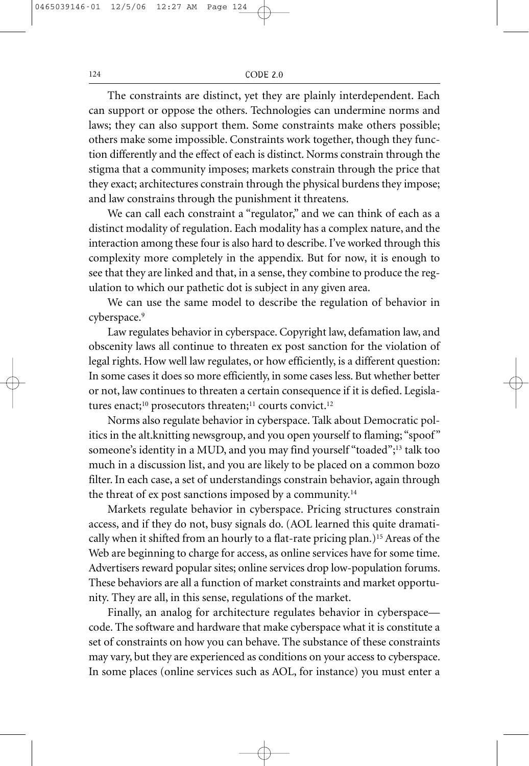The constraints are distinct, yet they are plainly interdependent. Each can support or oppose the others. Technologies can undermine norms and laws; they can also support them. Some constraints make others possible; others make some impossible. Constraints work together, though they function differently and the effect of each is distinct. Norms constrain through the stigma that a community imposes; markets constrain through the price that they exact; architectures constrain through the physical burdens they impose; and law constrains through the punishment it threatens.

We can call each constraint a "regulator," and we can think of each as a distinct modality of regulation. Each modality has a complex nature, and the interaction among these four is also hard to describe. I've worked through this complexity more completely in the appendix. But for now, it is enough to see that they are linked and that, in a sense, they combine to produce the regulation to which our pathetic dot is subject in any given area.

We can use the same model to describe the regulation of behavior in cyberspace. 9

Law regulates behavior in cyberspace. Copyright law, defamation law, and obscenity laws all continue to threaten ex post sanction for the violation of legal rights. How well law regulates, or how efficiently, is a different question: In some cases it does so more efficiently, in some cases less. But whether better or not, law continues to threaten a certain consequence if it is defied. Legislatures enact;<sup>10</sup> prosecutors threaten;<sup>11</sup> courts convict.<sup>12</sup>

Norms also regulate behavior in cyberspace. Talk about Democratic politics in the alt.knitting newsgroup, and you open yourself to flaming; "spoof" someone's identity in a MUD, and you may find yourself "toaded"; <sup>13</sup> talk too much in a discussion list, and you are likely to be placed on a common bozo filter. In each case, a set of understandings constrain behavior, again through the threat of ex post sanctions imposed by a community. 14

Markets regulate behavior in cyberspace. Pricing structures constrain access, and if they do not, busy signals do. (AOL learned this quite dramatically when it shifted from an hourly to a flat-rate pricing plan.)15 Areas of the Web are beginning to charge for access, as online services have for some time. Advertisers reward popular sites; online services drop low-population forums. These behaviors are all a function of market constraints and market opportunity. They are all, in this sense, regulations of the market.

Finally, an analog for architecture regulates behavior in cyberspace code. The software and hardware that make cyberspace what it is constitute a set of constraints on how you can behave. The substance of these constraints may vary, but they are experienced as conditions on your access to cyberspace. In some places (online services such as AOL, for instance) you must enter a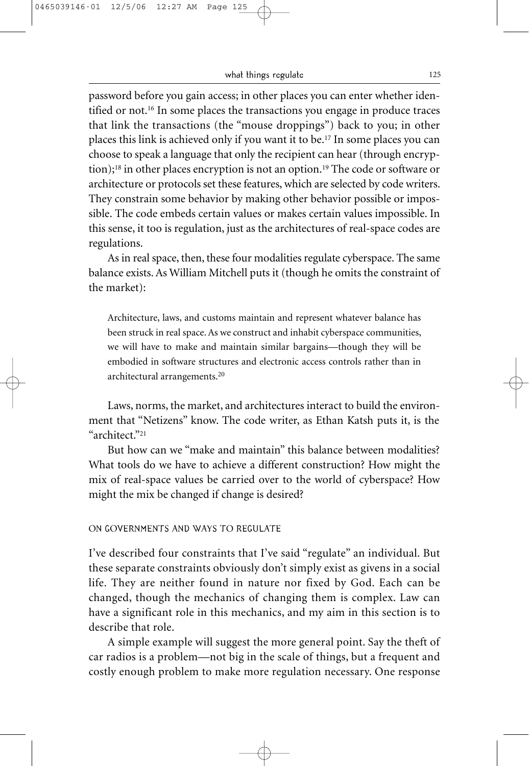password before you gain access; in other places you can enter whether identified or not. <sup>16</sup> In some places the transactions you engage in produce traces that link the transactions (the "mouse droppings") back to you; in other places this link is achieved only if you want it to be. <sup>17</sup> In some places you can choose to speak a language that only the recipient can hear (through encryption); <sup>18</sup> in other places encryption is not an option. <sup>19</sup> The code or software or architecture or protocols set these features, which are selected by code writers. They constrain some behavior by making other behavior possible or impossible. The code embeds certain values or makes certain values impossible. In this sense, it too is regulation, just as the architectures of real-space codes are regulations.

As in real space, then, these four modalities regulate cyberspace. The same balance exists.As William Mitchell puts it (though he omits the constraint of the market):

Architecture, laws, and customs maintain and represent whatever balance has been struck in real space. As we construct and inhabit cyberspace communities, we will have to make and maintain similar bargains—though they will be embodied in software structures and electronic access controls rather than in architectural arrangements. 20

Laws, norms, the market, and architectures interact to build the environment that "Netizens" know. The code writer, as Ethan Katsh puts it, is the "architect."21

But how can we "make and maintain" this balance between modalities? What tools do we have to achieve a different construction? How might the mix of real-space values be carried over to the world of cyberspace? How might the mix be changed if change is desired?

## ON GOVERNMENTS AND WAYS TO REGULATE

I've described four constraints that I've said "regulate" an individual. But these separate constraints obviously don't simply exist as givens in a social life. They are neither found in nature nor fixed by God. Each can be changed, though the mechanics of changing them is complex. Law can have a significant role in this mechanics, and my aim in this section is to describe that role.

A simple example will suggest the more general point. Say the theft of car radios is a problem—not big in the scale of things, but a frequent and costly enough problem to make more regulation necessary. One response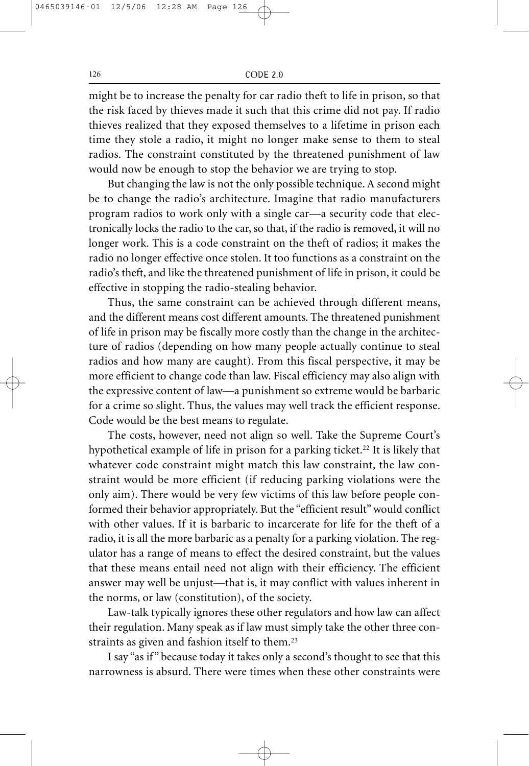might be to increase the penalty for car radio theft to life in prison, so that the risk faced by thieves made it such that this crime did not pay. If radio thieves realized that they exposed themselves to a lifetime in prison each time they stole a radio, it might no longer make sense to them to steal radios. The constraint constituted by the threatened punishment of law would now be enough to stop the behavior we are trying to stop.

But changing the law is not the only possible technique. A second might be to change the radio's architecture. Imagine that radio manufacturers program radios to work only with a single car—a security code that electronically locks the radio to the car, so that, if the radio is removed, it will no longer work. This is a code constraint on the theft of radios; it makes the radio no longer effective once stolen. It too functions as a constraint on the radio's theft, and like the threatened punishment of life in prison, it could be effective in stopping the radio-stealing behavior.

Thus, the same constraint can be achieved through different means, and the different means cost different amounts. The threatened punishment of life in prison may be fiscally more costly than the change in the architecture of radios (depending on how many people actually continue to steal radios and how many are caught). From this fiscal perspective, it may be more efficient to change code than law. Fiscal efficiency may also align with the expressive content of law—a punishment so extreme would be barbaric for a crime so slight. Thus, the values may well track the efficient response. Code would be the best means to regulate.

The costs, however, need not align so well. Take the Supreme Court's hypothetical example of life in prison for a parking ticket. <sup>22</sup> It is likely that whatever code constraint might match this law constraint, the law constraint would be more efficient (if reducing parking violations were the only aim). There would be very few victims of this law before people conformed their behavior appropriately. But the "efficient result" would conflict with other values. If it is barbaric to incarcerate for life for the theft of a radio, it is all the more barbaric as a penalty for a parking violation. The regulator has a range of means to effect the desired constraint, but the values that these means entail need not align with their efficiency. The efficient answer may well be unjust—that is, it may conflict with values inherent in the norms, or law (constitution), of the society.

Law-talk typically ignores these other regulators and how law can affect their regulation. Many speak as if law must simply take the other three constraints as given and fashion itself to them.<sup>23</sup>

I say "as if" because today it takes only a second's thought to see that this narrowness is absurd. There were times when these other constraints were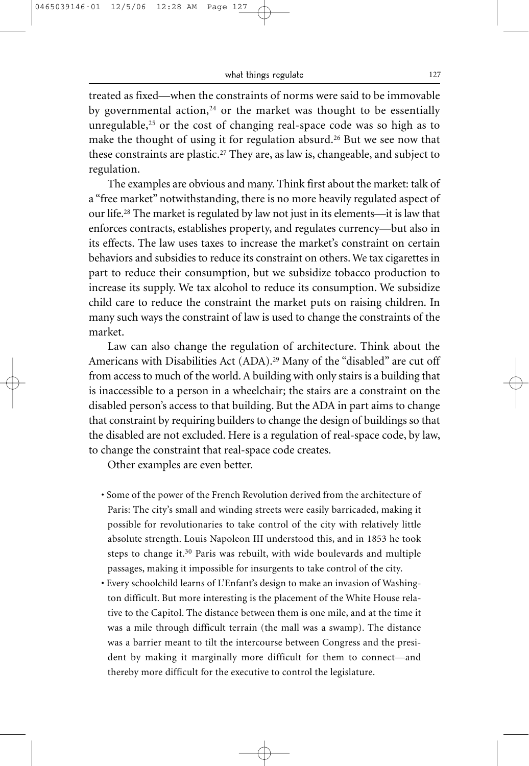treated as fixed—when the constraints of norms were said to be immovable by governmental action, <sup>24</sup> or the market was thought to be essentially unregulable, <sup>25</sup> or the cost of changing real-space code was so high as to make the thought of using it for regulation absurd. <sup>26</sup> But we see now that these constraints are plastic. <sup>27</sup> They are, as law is, changeable, and subject to regulation.

The examples are obvious and many. Think first about the market: talk of a "free market" notwithstanding, there is no more heavily regulated aspect of our life. <sup>28</sup> The market is regulated by law not just in its elements—it is law that enforces contracts, establishes property, and regulates currency—but also in its effects. The law uses taxes to increase the market's constraint on certain behaviors and subsidies to reduce its constraint on others.We tax cigarettes in part to reduce their consumption, but we subsidize tobacco production to increase its supply. We tax alcohol to reduce its consumption. We subsidize child care to reduce the constraint the market puts on raising children. In many such ways the constraint of law is used to change the constraints of the market.

Law can also change the regulation of architecture. Think about the Americans with Disabilities Act (ADA). <sup>29</sup> Many of the "disabled" are cut off from access to much of the world.A building with only stairs is a building that is inaccessible to a person in a wheelchair; the stairs are a constraint on the disabled person's access to that building. But the ADA in part aims to change that constraint by requiring builders to change the design of buildings so that the disabled are not excluded. Here is a regulation of real-space code, by law, to change the constraint that real-space code creates.

Other examples are even better.

- Some of the power of the French Revolution derived from the architecture of Paris: The city's small and winding streets were easily barricaded, making it possible for revolutionaries to take control of the city with relatively little absolute strength. Louis Napoleon III understood this, and in 1853 he took steps to change it.<sup>30</sup> Paris was rebuilt, with wide boulevards and multiple passages, making it impossible for insurgents to take control of the city.
- Every schoolchild learns of L'Enfant's design to make an invasion of Washington difficult. But more interesting is the placement of the White House relative to the Capitol. The distance between them is one mile, and at the time it was a mile through difficult terrain (the mall was a swamp). The distance was a barrier meant to tilt the intercourse between Congress and the president by making it marginally more difficult for them to connect—and thereby more difficult for the executive to control the legislature.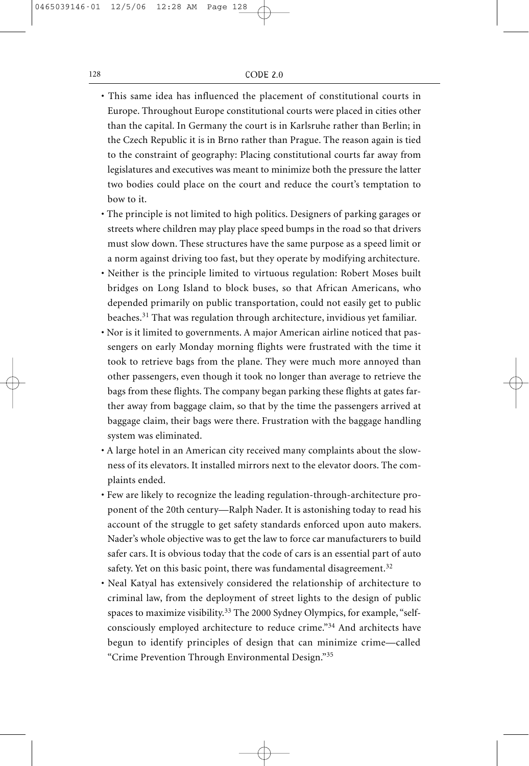- This same idea has influenced the placement of constitutional courts in Europe. Throughout Europe constitutional courts were placed in cities other than the capital. In Germany the court is in Karlsruhe rather than Berlin; in the Czech Republic it is in Brno rather than Prague. The reason again is tied to the constraint of geography: Placing constitutional courts far away from legislatures and executives was meant to minimize both the pressure the latter two bodies could place on the court and reduce the court's temptation to bow to it.
- The principle is not limited to high politics. Designers of parking garages or streets where children may play place speed bumps in the road so that drivers must slow down. These structures have the same purpose as a speed limit or a norm against driving too fast, but they operate by modifying architecture.
- Neither is the principle limited to virtuous regulation: Robert Moses built bridges on Long Island to block buses, so that African Americans, who depended primarily on public transportation, could not easily get to public beaches. <sup>31</sup> That was regulation through architecture, invidious yet familiar.
- Nor is it limited to governments. A major American airline noticed that passengers on early Monday morning flights were frustrated with the time it took to retrieve bags from the plane. They were much more annoyed than other passengers, even though it took no longer than average to retrieve the bags from these flights. The company began parking these flights at gates farther away from baggage claim, so that by the time the passengers arrived at baggage claim, their bags were there. Frustration with the baggage handling system was eliminated.
- A large hotel in an American city received many complaints about the slowness of its elevators. It installed mirrors next to the elevator doors. The complaints ended.
- Few are likely to recognize the leading regulation-through-architecture proponent of the 20th century—Ralph Nader. It is astonishing today to read his account of the struggle to get safety standards enforced upon auto makers. Nader's whole objective was to get the law to force car manufacturers to build safer cars. It is obvious today that the code of cars is an essential part of auto safety. Yet on this basic point, there was fundamental disagreement.<sup>32</sup>
- Neal Katyal has extensively considered the relationship of architecture to criminal law, from the deployment of street lights to the design of public spaces to maximize visibility.<sup>33</sup> The 2000 Sydney Olympics, for example, "selfconsciously employed architecture to reduce crime."34 And architects have begun to identify principles of design that can minimize crime—called "Crime Prevention Through Environmental Design."35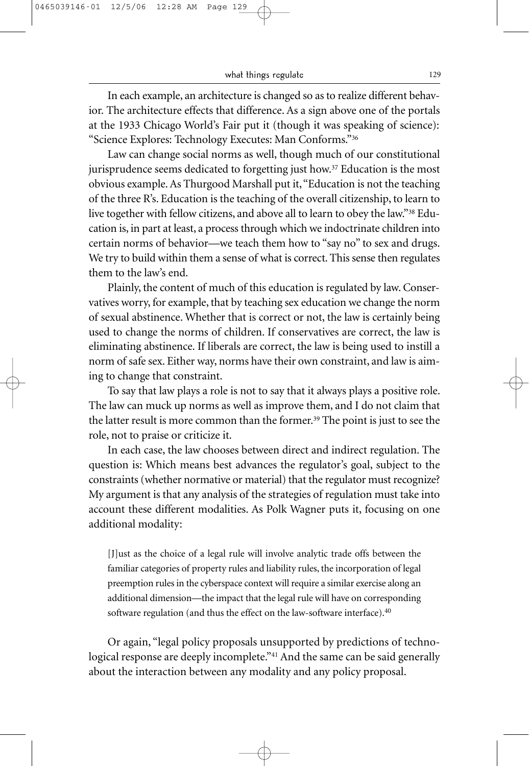In each example, an architecture is changed so as to realize different behavior. The architecture effects that difference. As a sign above one of the portals at the 1933 Chicago World's Fair put it (though it was speaking of science): "Science Explores: Technology Executes: Man Conforms."36

Law can change social norms as well, though much of our constitutional jurisprudence seems dedicated to forgetting just how. <sup>37</sup> Education is the most obvious example.As Thurgood Marshall put it,"Education is not the teaching of the three R's. Education is the teaching of the overall citizenship, to learn to live together with fellow citizens, and above all to learn to obey the law."38 Education is, in part at least, a process through which we indoctrinate children into certain norms of behavior—we teach them how to "say no" to sex and drugs. We try to build within them a sense of what is correct. This sense then regulates them to the law's end.

Plainly, the content of much of this education is regulated by law. Conservatives worry, for example, that by teaching sex education we change the norm of sexual abstinence. Whether that is correct or not, the law is certainly being used to change the norms of children. If conservatives are correct, the law is eliminating abstinence. If liberals are correct, the law is being used to instill a norm of safe sex. Either way, norms have their own constraint, and law is aiming to change that constraint.

To say that law plays a role is not to say that it always plays a positive role. The law can muck up norms as well as improve them, and I do not claim that the latter result is more common than the former. <sup>39</sup> The point is just to see the role, not to praise or criticize it.

In each case, the law chooses between direct and indirect regulation. The question is: Which means best advances the regulator's goal, subject to the constraints (whether normative or material) that the regulator must recognize? My argument is that any analysis of the strategies of regulation must take into account these different modalities. As Polk Wagner puts it, focusing on one additional modality:

[J]ust as the choice of a legal rule will involve analytic trade offs between the familiar categories of property rules and liability rules, the incorporation of legal preemption rules in the cyberspace context will require a similar exercise along an additional dimension—the impact that the legal rule will have on corresponding software regulation (and thus the effect on the law-software interface).<sup>40</sup>

Or again, "legal policy proposals unsupported by predictions of technological response are deeply incomplete."<sup>41</sup> And the same can be said generally about the interaction between any modality and any policy proposal.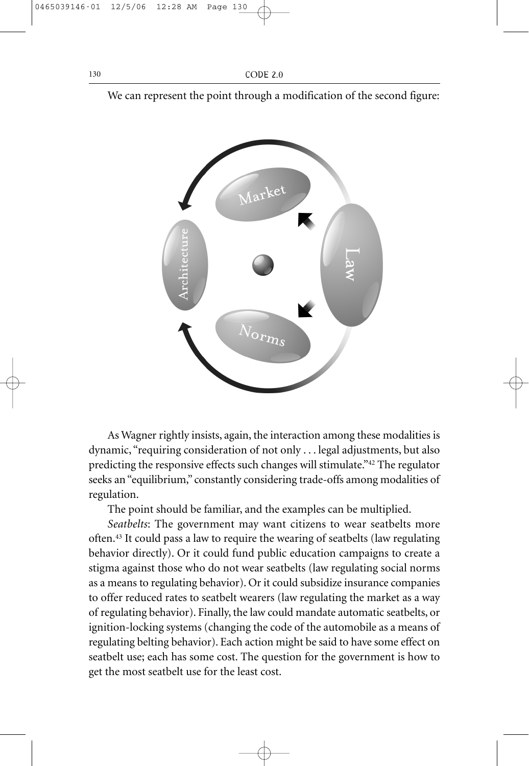

We can represent the point through a modification of the second figure:

As Wagner rightly insists, again, the interaction among these modalities is dynamic, "requiring consideration of not only . . . legal adjustments, but also predicting the responsive effects such changes will stimulate."42 The regulator seeks an "equilibrium," constantly considering trade-offs among modalities of regulation.

The point should be familiar, and the examples can be multiplied.

*Seatbelts*: The government may want citizens to wear seatbelts more often. <sup>43</sup> It could pass a law to require the wearing of seatbelts (law regulating behavior directly). Or it could fund public education campaigns to create a stigma against those who do not wear seatbelts (law regulating social norms as a means to regulating behavior). Or it could subsidize insurance companies to offer reduced rates to seatbelt wearers (law regulating the market as a way of regulating behavior). Finally, the law could mandate automatic seatbelts, or ignition-locking systems (changing the code of the automobile as a means of regulating belting behavior). Each action might be said to have some effect on seatbelt use; each has some cost. The question for the government is how to get the most seatbelt use for the least cost.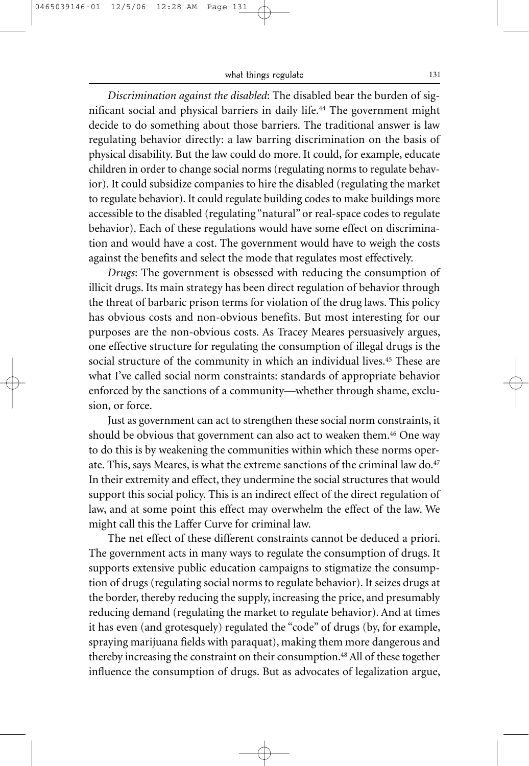*Discrimination against the disabled*: The disabled bear the burden of significant social and physical barriers in daily life. <sup>44</sup> The government might decide to do something about those barriers. The traditional answer is law regulating behavior directly: a law barring discrimination on the basis of physical disability. But the law could do more. It could, for example, educate children in order to change social norms (regulating norms to regulate behavior). It could subsidize companies to hire the disabled (regulating the market to regulate behavior). It could regulate building codes to make buildings more accessible to the disabled (regulating "natural" or real-space codes to regulate behavior). Each of these regulations would have some effect on discrimination and would have a cost. The government would have to weigh the costs against the benefits and select the mode that regulates most effectively.

*Drugs*: The government is obsessed with reducing the consumption of illicit drugs. Its main strategy has been direct regulation of behavior through the threat of barbaric prison terms for violation of the drug laws. This policy has obvious costs and non-obvious benefits. But most interesting for our purposes are the non-obvious costs. As Tracey Meares persuasively argues, one effective structure for regulating the consumption of illegal drugs is the social structure of the community in which an individual lives. <sup>45</sup> These are what I've called social norm constraints: standards of appropriate behavior enforced by the sanctions of a community—whether through shame, exclusion, or force.

Just as government can act to strengthen these social norm constraints, it should be obvious that government can also act to weaken them. <sup>46</sup> One way to do this is by weakening the communities within which these norms operate. This, says Meares, is what the extreme sanctions of the criminal law do.<sup>47</sup> In their extremity and effect, they undermine the social structures that would support this social policy. This is an indirect effect of the direct regulation of law, and at some point this effect may overwhelm the effect of the law. We might call this the Laffer Curve for criminal law.

The net effect of these different constraints cannot be deduced a priori. The government acts in many ways to regulate the consumption of drugs. It supports extensive public education campaigns to stigmatize the consumption of drugs (regulating social norms to regulate behavior). It seizes drugs at the border, thereby reducing the supply, increasing the price, and presumably reducing demand (regulating the market to regulate behavior). And at times it has even (and grotesquely) regulated the "code" of drugs (by, for example, spraying marijuana fields with paraquat), making them more dangerous and thereby increasing the constraint on their consumption. <sup>48</sup> All of these together influence the consumption of drugs. But as advocates of legalization argue,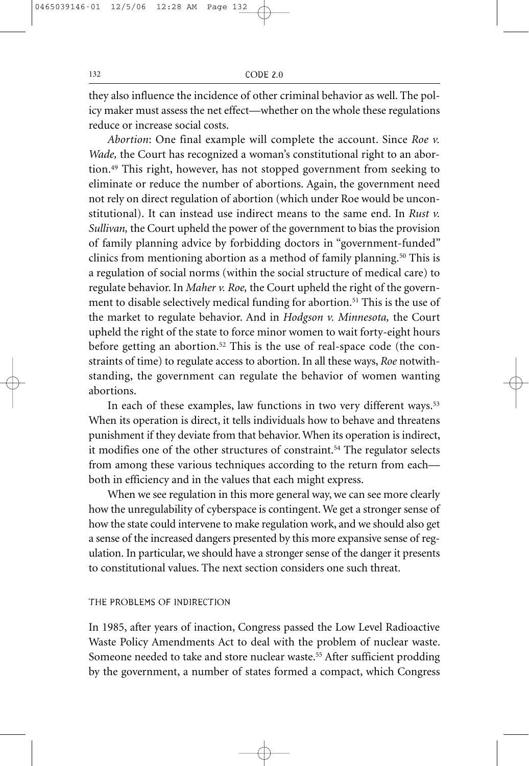they also influence the incidence of other criminal behavior as well. The policy maker must assess the net effect—whether on the whole these regulations reduce or increase social costs.

*Abortion*: One final example will complete the account. Since *Roe v. Wade,* the Court has recognized a woman's constitutional right to an abortion. <sup>49</sup> This right, however, has not stopped government from seeking to eliminate or reduce the number of abortions. Again, the government need not rely on direct regulation of abortion (which under Roe would be unconstitutional). It can instead use indirect means to the same end. In *Rust v. Sullivan,* the Court upheld the power of the government to bias the provision of family planning advice by forbidding doctors in "government-funded" clinics from mentioning abortion as a method of family planning. <sup>50</sup> This is a regulation of social norms (within the social structure of medical care) to regulate behavior. In *Maher v. Roe,* the Court upheld the right of the government to disable selectively medical funding for abortion. <sup>51</sup> This is the use of the market to regulate behavior. And in *Hodgson v. Minnesota,* the Court upheld the right of the state to force minor women to wait forty-eight hours before getting an abortion. <sup>52</sup> This is the use of real-space code (the constraints of time) to regulate access to abortion. In all these ways, *Roe* notwithstanding, the government can regulate the behavior of women wanting abortions.

In each of these examples, law functions in two very different ways.<sup>53</sup> When its operation is direct, it tells individuals how to behave and threatens punishment if they deviate from that behavior.When its operation is indirect, it modifies one of the other structures of constraint. <sup>54</sup> The regulator selects from among these various techniques according to the return from each both in efficiency and in the values that each might express.

When we see regulation in this more general way, we can see more clearly how the unregulability of cyberspace is contingent.We get a stronger sense of how the state could intervene to make regulation work, and we should also get a sense of the increased dangers presented by this more expansive sense of regulation. In particular, we should have a stronger sense of the danger it presents to constitutional values. The next section considers one such threat.

#### THE PROBLEMS OF INDIRECTION

In 1985, after years of inaction, Congress passed the Low Level Radioactive Waste Policy Amendments Act to deal with the problem of nuclear waste. Someone needed to take and store nuclear waste. <sup>55</sup> After sufficient prodding by the government, a number of states formed a compact, which Congress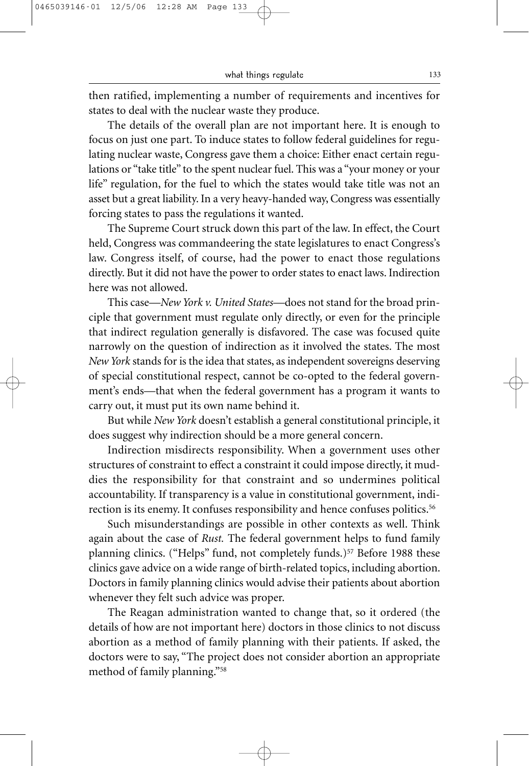then ratified, implementing a number of requirements and incentives for states to deal with the nuclear waste they produce.

The details of the overall plan are not important here. It is enough to focus on just one part. To induce states to follow federal guidelines for regulating nuclear waste, Congress gave them a choice: Either enact certain regulations or "take title" to the spent nuclear fuel. This was a "your money or your life" regulation, for the fuel to which the states would take title was not an asset but a great liability. In a very heavy-handed way, Congress was essentially forcing states to pass the regulations it wanted.

The Supreme Court struck down this part of the law. In effect, the Court held, Congress was commandeering the state legislatures to enact Congress's law. Congress itself, of course, had the power to enact those regulations directly. But it did not have the power to order states to enact laws. Indirection here was not allowed.

This case—*New York v. United States*—does not stand for the broad principle that government must regulate only directly, or even for the principle that indirect regulation generally is disfavored. The case was focused quite narrowly on the question of indirection as it involved the states. The most *New York* stands for is the idea that states, as independent sovereigns deserving of special constitutional respect, cannot be co-opted to the federal government's ends—that when the federal government has a program it wants to carry out, it must put its own name behind it.

But while *New York* doesn't establish a general constitutional principle, it does suggest why indirection should be a more general concern.

Indirection misdirects responsibility. When a government uses other structures of constraint to effect a constraint it could impose directly, it muddies the responsibility for that constraint and so undermines political accountability. If transparency is a value in constitutional government, indirection is its enemy. It confuses responsibility and hence confuses politics. 56

Such misunderstandings are possible in other contexts as well. Think again about the case of *Rust.* The federal government helps to fund family planning clinics. ("Helps" fund, not completely funds.)<sup>57</sup> Before 1988 these clinics gave advice on a wide range of birth-related topics, including abortion. Doctors in family planning clinics would advise their patients about abortion whenever they felt such advice was proper.

The Reagan administration wanted to change that, so it ordered (the details of how are not important here) doctors in those clinics to not discuss abortion as a method of family planning with their patients. If asked, the doctors were to say, "The project does not consider abortion an appropriate method of family planning."58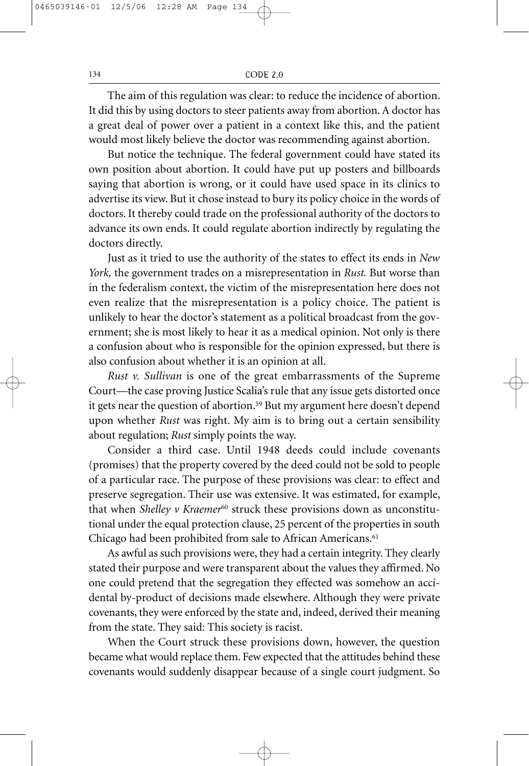The aim of this regulation was clear: to reduce the incidence of abortion. It did this by using doctors to steer patients away from abortion. A doctor has a great deal of power over a patient in a context like this, and the patient would most likely believe the doctor was recommending against abortion.

But notice the technique. The federal government could have stated its own position about abortion. It could have put up posters and billboards saying that abortion is wrong, or it could have used space in its clinics to advertise its view. But it chose instead to bury its policy choice in the words of doctors. It thereby could trade on the professional authority of the doctors to advance its own ends. It could regulate abortion indirectly by regulating the doctors directly.

Just as it tried to use the authority of the states to effect its ends in *New York,* the government trades on a misrepresentation in *Rust.* But worse than in the federalism context, the victim of the misrepresentation here does not even realize that the misrepresentation is a policy choice. The patient is unlikely to hear the doctor's statement as a political broadcast from the government; she is most likely to hear it as a medical opinion. Not only is there a confusion about who is responsible for the opinion expressed, but there is also confusion about whether it is an opinion at all.

*Rust v. Sullivan* is one of the great embarrassments of the Supreme Court—the case proving Justice Scalia's rule that any issue gets distorted once it gets near the question of abortion. <sup>59</sup> But my argument here doesn't depend upon whether *Rust* was right. My aim is to bring out a certain sensibility about regulation; *Rust* simply points the way.

Consider a third case. Until 1948 deeds could include covenants (promises) that the property covered by the deed could not be sold to people of a particular race. The purpose of these provisions was clear: to effect and preserve segregation. Their use was extensive. It was estimated, for example, that when *Shelley v Kraemer*<sup>60</sup> struck these provisions down as unconstitutional under the equal protection clause, 25 percent of the properties in south Chicago had been prohibited from sale to African Americans. 61

As awful as such provisions were, they had a certain integrity. They clearly stated their purpose and were transparent about the values they affirmed. No one could pretend that the segregation they effected was somehow an accidental by-product of decisions made elsewhere. Although they were private covenants, they were enforced by the state and, indeed, derived their meaning from the state. They said: This society is racist.

When the Court struck these provisions down, however, the question became what would replace them. Few expected that the attitudes behind these covenants would suddenly disappear because of a single court judgment. So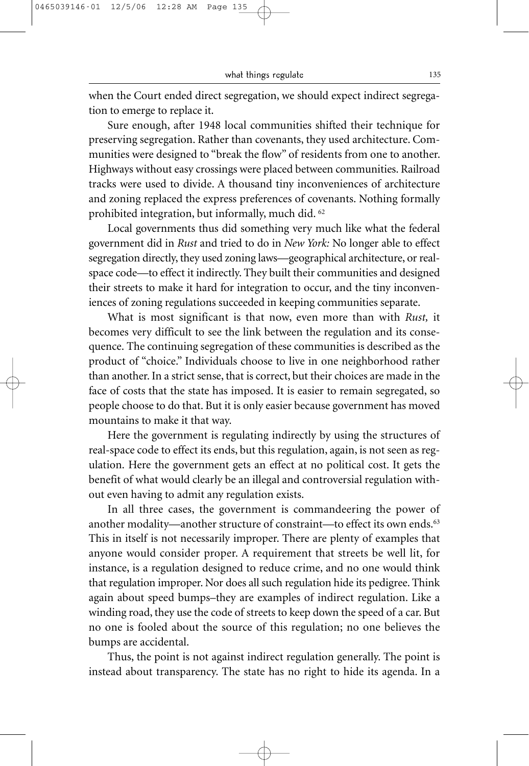when the Court ended direct segregation, we should expect indirect segregation to emerge to replace it.

Sure enough, after 1948 local communities shifted their technique for preserving segregation. Rather than covenants, they used architecture. Communities were designed to "break the flow" of residents from one to another. Highways without easy crossings were placed between communities. Railroad tracks were used to divide. A thousand tiny inconveniences of architecture and zoning replaced the express preferences of covenants. Nothing formally prohibited integration, but informally, much did. <sup>62</sup>

Local governments thus did something very much like what the federal government did in *Rust* and tried to do in *New York:* No longer able to effect segregation directly, they used zoning laws—geographical architecture, or realspace code—to effect it indirectly. They built their communities and designed their streets to make it hard for integration to occur, and the tiny inconveniences of zoning regulations succeeded in keeping communities separate.

What is most significant is that now, even more than with *Rust,* it becomes very difficult to see the link between the regulation and its consequence. The continuing segregation of these communities is described as the product of "choice." Individuals choose to live in one neighborhood rather than another. In a strict sense, that is correct, but their choices are made in the face of costs that the state has imposed. It is easier to remain segregated, so people choose to do that. But it is only easier because government has moved mountains to make it that way.

Here the government is regulating indirectly by using the structures of real-space code to effect its ends, but this regulation, again, is not seen as regulation. Here the government gets an effect at no political cost. It gets the benefit of what would clearly be an illegal and controversial regulation without even having to admit any regulation exists.

In all three cases, the government is commandeering the power of another modality—another structure of constraint—to effect its own ends. 63 This in itself is not necessarily improper. There are plenty of examples that anyone would consider proper. A requirement that streets be well lit, for instance, is a regulation designed to reduce crime, and no one would think that regulation improper. Nor does all such regulation hide its pedigree. Think again about speed bumps–they are examples of indirect regulation. Like a winding road, they use the code of streets to keep down the speed of a car. But no one is fooled about the source of this regulation; no one believes the bumps are accidental.

Thus, the point is not against indirect regulation generally. The point is instead about transparency. The state has no right to hide its agenda. In a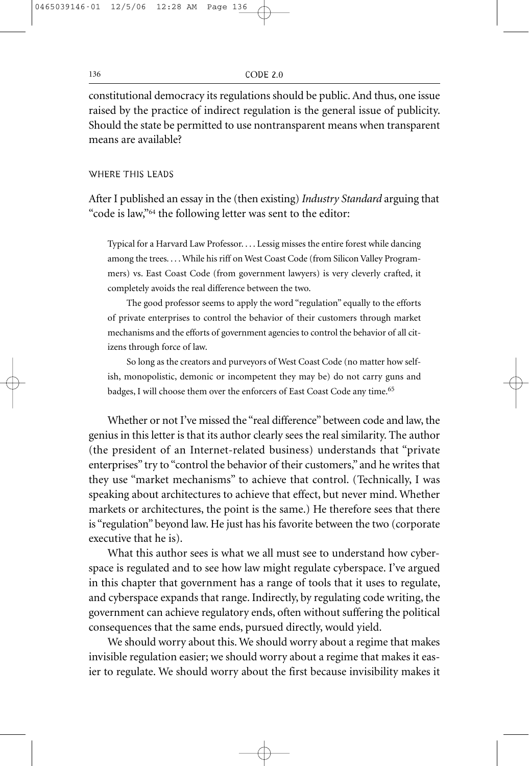constitutional democracy its regulations should be public.And thus, one issue raised by the practice of indirect regulation is the general issue of publicity. Should the state be permitted to use nontransparent means when transparent means are available?

### WHERE THIS LEADS

After I published an essay in the (then existing) *Industry Standard* arguing that "code is law,"64 the following letter was sent to the editor:

Typical for a Harvard Law Professor. . . . Lessig misses the entire forest while dancing among the trees. . . . While his riff on West Coast Code (from Silicon Valley Programmers) vs. East Coast Code (from government lawyers) is very cleverly crafted, it completely avoids the real difference between the two.

The good professor seems to apply the word "regulation" equally to the efforts of private enterprises to control the behavior of their customers through market mechanisms and the efforts of government agencies to control the behavior of all citizens through force of law.

So long as the creators and purveyors of West Coast Code (no matter how selfish, monopolistic, demonic or incompetent they may be) do not carry guns and badges, I will choose them over the enforcers of East Coast Code any time.<sup>65</sup>

Whether or not I've missed the "real difference" between code and law, the genius in this letter is that its author clearly sees the real similarity. The author (the president of an Internet-related business) understands that "private enterprises" try to "control the behavior of their customers," and he writes that they use "market mechanisms" to achieve that control. (Technically, I was speaking about architectures to achieve that effect, but never mind. Whether markets or architectures, the point is the same.) He therefore sees that there is "regulation" beyond law. He just has his favorite between the two (corporate executive that he is).

What this author sees is what we all must see to understand how cyberspace is regulated and to see how law might regulate cyberspace. I've argued in this chapter that government has a range of tools that it uses to regulate, and cyberspace expands that range. Indirectly, by regulating code writing, the government can achieve regulatory ends, often without suffering the political consequences that the same ends, pursued directly, would yield.

We should worry about this. We should worry about a regime that makes invisible regulation easier; we should worry about a regime that makes it easier to regulate. We should worry about the first because invisibility makes it